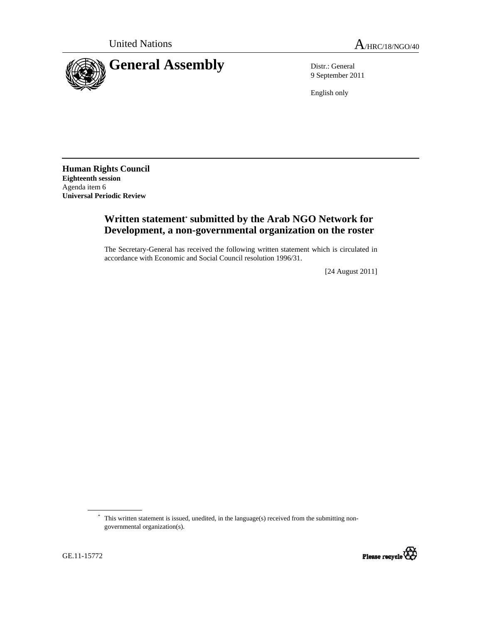

9 September 2011

English only

**Human Rights Council Eighteenth session**  Agenda item 6 **Universal Periodic Review** 

## **Written statement\* submitted by the Arab NGO Network for Development, a non-governmental organization on the roster**

The Secretary-General has received the following written statement which is circulated in accordance with Economic and Social Council resolution 1996/31.

[24 August 2011]

<sup>\*</sup> This written statement is issued, unedited, in the language(s) received from the submitting nongovernmental organization(s).

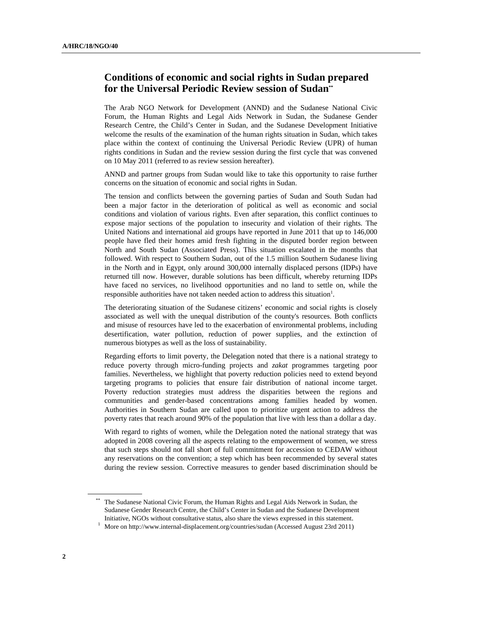## **Conditions of economic and social rights in Sudan prepared for the Universal Periodic Review session of Sudan\*\***

The Arab NGO Network for Development (ANND) and the Sudanese National Civic Forum, the Human Rights and Legal Aids Network in Sudan, the Sudanese Gender Research Centre, the Child's Center in Sudan, and the Sudanese Development Initiative welcome the results of the examination of the human rights situation in Sudan, which takes place within the context of continuing the Universal Periodic Review (UPR) of human rights conditions in Sudan and the review session during the first cycle that was convened on 10 May 2011 (referred to as review session hereafter).

ANND and partner groups from Sudan would like to take this opportunity to raise further concerns on the situation of economic and social rights in Sudan.

The tension and conflicts between the governing parties of Sudan and South Sudan had been a major factor in the deterioration of political as well as economic and social conditions and violation of various rights. Even after separation, this conflict continues to expose major sections of the population to insecurity and violation of their rights. The United Nations and international aid groups have reported in June 2011 that up to 146,000 people have fled their homes amid fresh fighting in the disputed border region between North and South Sudan (Associated Press). This situation escalated in the months that followed. With respect to Southern Sudan, out of the 1.5 million Southern Sudanese living in the North and in Egypt, only around 300,000 internally displaced persons (IDPs) have returned till now. However, durable solutions has been difficult, whereby returning IDPs have faced no services, no livelihood opportunities and no land to settle on, while the responsible authorities have not taken needed action to address this situation<sup>1</sup>.

The deteriorating situation of the Sudanese citizens' economic and social rights is closely associated as well with the unequal distribution of the county's resources. Both conflicts and misuse of resources have led to the exacerbation of environmental problems, including desertification, water pollution, reduction of power supplies, and the extinction of numerous biotypes as well as the loss of sustainability.

Regarding efforts to limit poverty, the Delegation noted that there is a national strategy to reduce poverty through micro-funding projects and *zakat* programmes targeting poor families. Nevertheless, we highlight that poverty reduction policies need to extend beyond targeting programs to policies that ensure fair distribution of national income target. Poverty reduction strategies must address the disparities between the regions and communities and gender-based concentrations among families headed by women. Authorities in Southern Sudan are called upon to prioritize urgent action to address the poverty rates that reach around 90% of the population that live with less than a dollar a day.

With regard to rights of women, while the Delegation noted the national strategy that was adopted in 2008 covering all the aspects relating to the empowerment of women, we stress that such steps should not fall short of full commitment for accession to CEDAW without any reservations on the convention; a step which has been recommended by several states during the review session. Corrective measures to gender based discrimination should be

\*\* The Sudanese National Civic Forum, the Human Rights and Legal Aids Network in Sudan, the Sudanese Gender Research Centre, the Child's Center in Sudan and the Sudanese Development Initiative, NGOs without consultative status, also share the views expressed in this statement.

<sup>&</sup>lt;sup>1</sup> More on http://www.internal-displacement.org/countries/sudan (Accessed August 23rd 2011)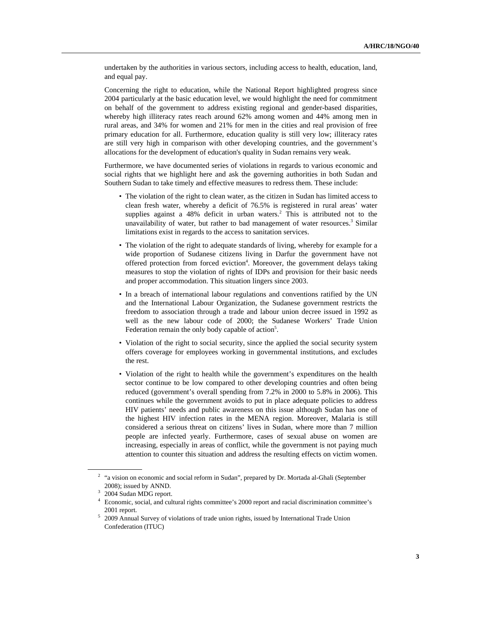undertaken by the authorities in various sectors, including access to health, education, land, and equal pay.

Concerning the right to education, while the National Report highlighted progress since 2004 particularly at the basic education level, we would highlight the need for commitment on behalf of the government to address existing regional and gender-based disparities, whereby high illiteracy rates reach around 62% among women and 44% among men in rural areas, and 34% for women and 21% for men in the cities and real provision of free primary education for all. Furthermore, education quality is still very low; illiteracy rates are still very high in comparison with other developing countries, and the government's allocations for the development of education's quality in Sudan remains very weak.

Furthermore, we have documented series of violations in regards to various economic and social rights that we highlight here and ask the governing authorities in both Sudan and Southern Sudan to take timely and effective measures to redress them. These include:

- The violation of the right to clean water, as the citizen in Sudan has limited access to clean fresh water, whereby a deficit of 76.5% is registered in rural areas' water supplies against a  $48\%$  deficit in urban waters.<sup>2</sup> This is attributed not to the unavailability of water, but rather to bad management of water resources.<sup>3</sup> Similar limitations exist in regards to the access to sanitation services.
- The violation of the right to adequate standards of living, whereby for example for a wide proportion of Sudanese citizens living in Darfur the government have not offered protection from forced eviction<sup>4</sup>. Moreover, the government delays taking measures to stop the violation of rights of IDPs and provision for their basic needs and proper accommodation. This situation lingers since 2003.
- In a breach of international labour regulations and conventions ratified by the UN and the International Labour Organization, the Sudanese government restricts the freedom to association through a trade and labour union decree issued in 1992 as well as the new labour code of 2000; the Sudanese Workers' Trade Union Federation remain the only body capable of action<sup>5</sup>.
- Violation of the right to social security, since the applied the social security system offers coverage for employees working in governmental institutions, and excludes the rest.
- Violation of the right to health while the government's expenditures on the health sector continue to be low compared to other developing countries and often being reduced (government's overall spending from 7.2% in 2000 to 5.8% in 2006). This continues while the government avoids to put in place adequate policies to address HIV patients' needs and public awareness on this issue although Sudan has one of the highest HIV infection rates in the MENA region. Moreover, Malaria is still considered a serious threat on citizens' lives in Sudan, where more than 7 million people are infected yearly. Furthermore, cases of sexual abuse on women are increasing, especially in areas of conflict, while the government is not paying much attention to counter this situation and address the resulting effects on victim women.

 $2$  "a vision on economic and social reform in Sudan", prepared by Dr. Mortada al-Ghali (September 2008); issued by ANND.<br> $3\overline{)2004}$  Sudan MDG report.

<sup>4</sup> Economic, social, and cultural rights committee's 2000 report and racial discrimination committee's 2001 report.<br>
<sup>5</sup> 2009 Annual Survey of violations of trade union rights, issued by International Trade Union

Confederation (ITUC)